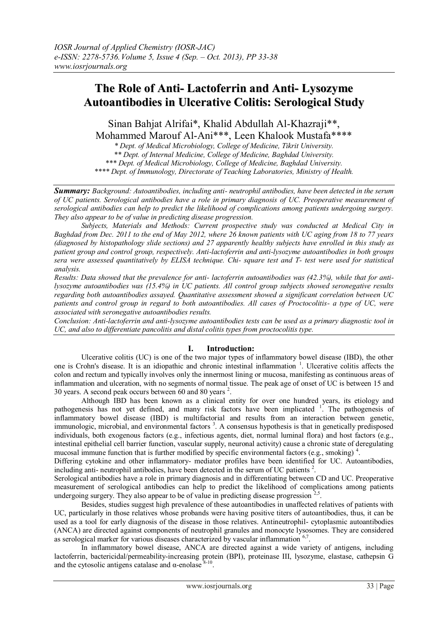# **The Role of Anti- Lactoferrin and Anti- Lysozyme Autoantibodies in Ulcerative Colitis: Serological Study**

Sinan Bahjat Alrifai\*, Khalid Abdullah Al-Khazraji\*\*, Mohammed Marouf Al-Ani\*\*\*, Leen Khalook Mustafa\*\*\*\*

*\* Dept. of Medical Microbiology, College of Medicine, Tikrit University. \*\* Dept. of Internal Medicine, College of Medicine, Baghdad University.*

*\*\*\* Dept. of Medical Microbiology, College of Medicine, Baghdad University.*

*\*\*\*\* Dept. of Immunology, Directorate of Teaching Laboratories, Ministry of Health.*

*Summary: Background: Autoantibodies, including anti- neutrophil antibodies, have been detected in the serum of UC patients. Serological antibodies have a role in primary diagnosis of UC. Preoperative measurement of serological antibodies can help to predict the likelihood of complications among patients undergoing surgery. They also appear to be of value in predicting disease progression.* 

*Subjects, Materials and Methods: Current prospective study was conducted at Medical City in Baghdad from Dec. 2011 to the end of May 2012, where 26 known patients with UC aging from 18 to 77 years (diagnosed by histopathology slide sections) and 27 apparently healthy subjects have enrolled in this study as patient group and control group, respectively. Anti-lactoferrin and anti-lysozyme autoantibodies in both groups sera were assessed quantitatively by ELISA technique. Chi- square test and T- test were used for statistical analysis.* 

*Results: Data showed that the prevalence for anti- lactoferrin autoantibodies was (42.3%), while that for antilysozyme autoantibodies was (15.4%) in UC patients. All control group subjects showed seronegative results regarding both autoantibodies assayed. Quantitative assessment showed a significant correlation between UC patients and control group in regard to both autoantibodies. All cases of Proctocolitis- a type of UC, were associated with seronegative autoantibodies results.* 

*Conclusion: Anti-lactoferrin and anti-lysozyme autoantibodies tests can be used as a primary diagnostic tool in UC, and also to differentiate pancolitis and distal colitis types from proctocolitis type.* 

## **I. Introduction:**

Ulcerative colitis (UC) is one of the two major types of inflammatory bowel disease (IBD), the other one is Crohn's disease. It is an idiopathic and chronic intestinal inflammation <sup>1</sup>. Ulcerative colitis affects the colon and rectum and typically involves only the innermost lining or mucosa, manifesting as continuous areas of inflammation and ulceration, with no segments of normal tissue. The peak age of onset of UC is between 15 and 30 years. A second peak occurs between 60 and 80 years <sup>2</sup>.

Although IBD has been known as a clinical entity for over one hundred years, its etiology and pathogenesis has not yet defined, and many risk factors have been implicated <sup>1</sup>. The pathogenesis of inflammatory bowel disease (IBD) is multifactorial and results from an interaction between genetic, immunologic, microbial, and environmental factors<sup>3</sup>. A consensus hypothesis is that in genetically predisposed individuals, both exogenous factors (e.g., infectious agents, diet, normal luminal flora) and host factors (e.g., intestinal epithelial cell barrier function, vascular supply, neuronal activity) cause a chronic state of deregulating mucosal immune function that is further modified by specific environmental factors (e.g., smoking)<sup>4</sup>.

Differing cytokine and other inflammatory- mediator profiles have been identified for UC. Autoantibodies, including anti- neutrophil antibodies, have been detected in the serum of UC patients <sup>2</sup> .

Serological antibodies have a role in primary diagnosis and in differentiating between CD and UC. Preoperative measurement of serological antibodies can help to predict the likelihood of complications among patients undergoing surgery. They also appear to be of value in predicting disease progression  $2.5$ .

Besides, studies suggest high prevalence of these autoantibodies in unaffected relatives of patients with UC, particularly in those relatives whose probands were having positive titers of autoantibodies, thus, it can be used as a tool for early diagnosis of the disease in those relatives. Antineutrophil- cytoplasmic autoantibodies (ANCA) are directed against components of neutrophil granules and monocyte lysosomes. They are considered as serological marker for various diseases characterized by vascular inflammation  $67$ .

In inflammatory bowel disease, ANCA are directed against a wide variety of antigens, including lactoferri[n,](http://qjmed.oxfordjournals.org/content/92/11/651.full#ref-6) bactericidal/permeability-increasing protein (BPI), proteinase III, lysozyme, elastase, cathepsin G and the cytosolic antigens catalase and  $\alpha$ -enolase  $8-10$ .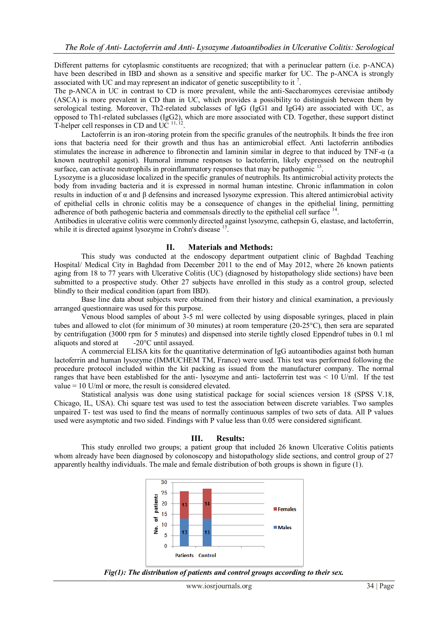Different patterns for cytoplasmic constituents are recognized; that with a perinuclear pattern (i.e. p-ANCA) have been described in IBD and shown as a sensitive and specific marker for UC. The p-ANCA is strongly associated with UC and may represent an indicator of genetic susceptibility to it  $^7$ .

The p-ANCA in UC in contrast to CD is more prevalent, while the anti-Saccharomyces cerevisiae antibody (ASCA) is more prevalent in CD than in UC, which provides a possibility to distinguish between them by serological testing. Moreover, Th2-related subclasses of IgG (IgG1 and IgG4) are associated with UC, as opposed to Th1-related subclasses (IgG2), which are more associated with CD. Together, these support distinct T-helper cell responses in CD and UC<sup>11, 12</sup>.

Lactoferrin is an iron-storing protein from the specific granules of the neutrophils. It binds the free iron ions that bacteria need for their growth and thus has an antimicrobial effect. Anti lactoferrin antibodies stimulates the increase in adherence to fibronectin and laminin similar in degree to that induced by TNF-α (a known neutrophil agonist). Humoral immune responses to lactoferrin, likely expressed on the neutrophil surface, can activate neutrophils in proinflammatory responses that may be pathogenic<sup>13</sup>.

Lysozyme is a glucosidase localized in the specific granules of neutrophils. Its antimicrobial activity protects the body from invading bacteria and it is expressed in normal human intestine. Chronic inflammation in colon results in induction of α and β defensins and increased lysozyme expression. This altered antimicrobial activity of epithelial cells in chronic colitis may be a consequence of changes in the epithelial lining, permitting adherence of both pathogenic bacteria and commensals directly to the epithelial cell surface <sup>14</sup>.

Antibodies in ulcerative colitis were commonly directed against lysozyme, cathepsin G, elastase, and lactoferrin, while it is directed against lysozyme in Crohn's disease <sup>15</sup>.

## **II. Materials and Methods:**

This study was conducted at the endoscopy department outpatient clinic of Baghdad Teaching Hospital/ Medical City in Baghdad from December 2011 to the end of May 2012, where 26 known patients aging from 18 to 77 years with Ulcerative Colitis (UC) (diagnosed by histopathology slide sections) have been submitted to a prospective study. Other 27 subjects have enrolled in this study as a control group, selected blindly to their medical condition (apart from IBD).

Base line data about subjects were obtained from their history and clinical examination, a previously arranged questionnaire was used for this purpose.

Venous blood samples of about 3-5 ml were collected by using disposable syringes, placed in plain tubes and allowed to clot (for minimum of 30 minutes) at room temperature (20-25°C), then sera are separated by centrifugation (3000 rpm for 5 minutes) and dispensed into sterile tightly closed Eppendrof tubes in 0.1 ml aliquots and stored at -20°C until assayed.

A commercial ELISA kits for the quantitative determination of IgG autoantibodies against both human lactoferrin and human lysozyme (IMMUCHEM TM, France) were used. This test was performed following the procedure protocol included within the kit packing as issued from the manufacturer company. The normal ranges that have been established for the anti- lysozyme and anti- lactoferrin test was < 10 U/ml. If the test value = 10 U/ml or more, the result is considered elevated.

Statistical analysis was done using statistical package for social sciences version 18 (SPSS V.18, Chicago, IL, USA). Chi square test was used to test the association between discrete variables. Two samples unpaired T- test was used to find the means of normally continuous samples of two sets of data. All P values used were asymptotic and two sided. Findings with P value less than 0.05 were considered significant.

## **III. Results:**

This study enrolled two groups; a patient group that included 26 known Ulcerative Colitis patients whom already have been diagnosed by colonoscopy and histopathology slide sections, and control group of 27 apparently healthy individuals. The male and female distribution of both groups is shown in figure (1).



*Fig(1): The distribution of patients and control groups according to their sex.*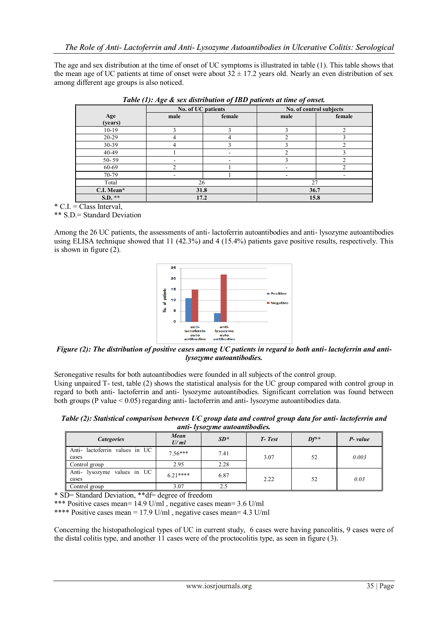The age and sex distribution at the time of onset of UC symptoms is illustrated in table (1). This table shows that the mean age of UC patients at time of onset were about  $32 \pm 17.2$  years old. Nearly an even distribution of sex among different age groups is also noticed.

|            | No. of UC patients |             | No. of control subjects |        |  |
|------------|--------------------|-------------|-------------------------|--------|--|
| Age        | male               | female      | male                    | female |  |
| (years)    |                    |             |                         |        |  |
| $10-19$    |                    | $\sim$      |                         | ◠      |  |
| 20-29      |                    | 4           |                         |        |  |
| 30-39      | 4                  | $\mathbf 3$ |                         | ◠      |  |
| 40-49      |                    |             |                         |        |  |
| $50 - 59$  |                    |             |                         |        |  |
| 60-69      |                    |             | ۰                       | ◠      |  |
| 70-79      |                    |             | ۰                       |        |  |
| Total      | 26                 |             | 27                      |        |  |
| C.I. Mean* | 31.8               |             | 36.7                    |        |  |
| S.D. **    | 17.2               |             | 15.8                    |        |  |

*Table (1): Age & sex distribution of IBD patients at time of onset.*

 $^*$  C.I. = Class Interval,

\*\* S.D.= Standard Deviation

Among the 26 UC patients, the assessments of anti- lactoferrin autoantibodies and anti- lysozyme autoantibodies using ELISA technique showed that 11 (42.3%) and 4 (15.4%) patients gave positive results, respectively. This is shown in figure (2).



*Figure (2): The distribution of positive cases among UC patients in regard to both anti- lactoferrin and antilysozyme autoantibodies.*

Seronegative results for both autoantibodies were founded in all subjects of the control group.

Using unpaired T- test, table (2) shows the statistical analysis for the UC group compared with control group in regard to both anti- lactoferrin and anti- lysozyme autoantibodies. Significant correlation was found between both groups (P value < 0.05) regarding anti- lactoferrin and anti- lysozyme autoantibodies data.

*Table (2): Statistical comparison between UC group data and control group data for anti- lactoferrin and anti- lysozyme autoantibodies.*

| .                                      |              |        |        |        |         |  |  |  |
|----------------------------------------|--------------|--------|--------|--------|---------|--|--|--|
| <b>Categories</b>                      | Mean<br>U/ml | $SD^*$ | T-Test | $Df^*$ | P-value |  |  |  |
| Anti-lactoferrin values in UC<br>cases | $7.56***$    | 7.41   | 3.07   | 52     | 0.003   |  |  |  |
| Control group                          | 2.95         | 2.28   |        |        |         |  |  |  |
| Anti- lysozyme values in UC<br>cases   | $621***$     | 6.87   | 2.22   | 52     | 0.03    |  |  |  |
| Control group                          | 3.07         | 2.5    |        |        |         |  |  |  |

\* SD= Standard Deviation, \*\*df= degree of freedom

\*\*\* Positive cases mean= 14.9 U/ml , negative cases mean= 3.6 U/ml

\*\*\*\* Positive cases mean = 17.9 U/ml , negative cases mean= 4.3 U/ml

Concerning the histopathological types of UC in current study, 6 cases were having pancolitis, 9 cases were of the distal colitis type, and another 11 cases were of the proctocolitis type, as seen in figure (3).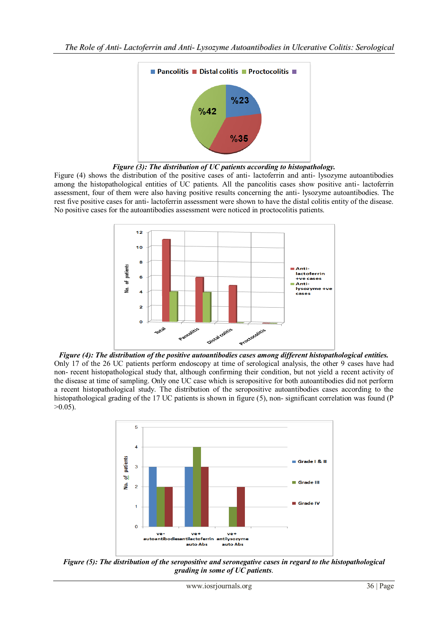

*Figure (3): The distribution of UC patients according to histopathology.*

Figure (4) shows the distribution of the positive cases of anti- lactoferrin and anti- lysozyme autoantibodies among the histopathological entities of UC patients. All the pancolitis cases show positive anti- lactoferrin assessment, four of them were also having positive results concerning the anti- lysozyme autoantibodies. The rest five positive cases for anti- lactoferrin assessment were shown to have the distal colitis entity of the disease. No positive cases for the autoantibodies assessment were noticed in proctocolitis patients.



*Figure (4): The distribution of the positive autoantibodies cases among different histopathological entities.* Only 17 of the 26 UC patients perform endoscopy at time of serological analysis, the other 9 cases have had non- recent histopathological study that, although confirming their condition, but not yield a recent activity of the disease at time of sampling. Only one UC case which is seropositive for both autoantibodies did not perform a recent histopathological study. The distribution of the seropositive autoantibodies cases according to the histopathological grading of the 17 UC patients is shown in figure (5), non- significant correlation was found (P  $>0.05$ ).



*Figure (5): The distribution of the seropositive and seronegative cases in regard to the histopathological grading in some of UC patients*.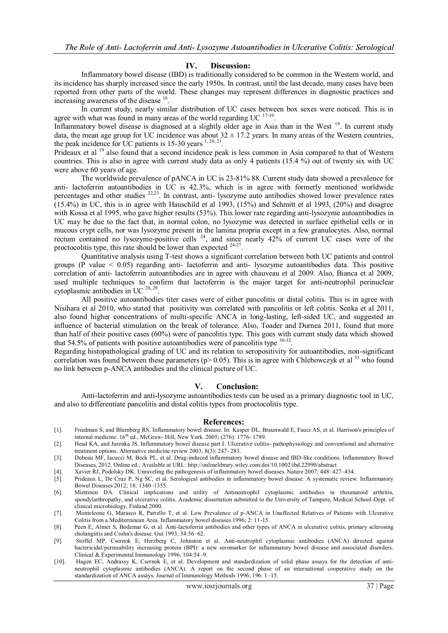### **IV. Discussion:**

Inflammatory bowel disease (IBD) is traditionally considered to be common in the Western world, and its incidence has sharply increased since the early 1950s. In contrast, until the last decade, many cases have been reported from other parts of the world. These changes may represent differences in diagnostic practices and increasing awareness of the disease <sup>16</sup>.

In current study, nearly similar distribution of UC cases between box sexes were noticed. This is in agree with what was found in many areas of the world regarding UC  $17-19$ .

Inflammatory bowel disease is diagnosed at a slightly older age in Asia than in the West <sup>19</sup>. In current study data, the mean age group for UC incidence was about  $32 \pm 17.2$  years. In many areas of the Western countries, the peak incidence for UC patients is  $15-30$  years  $\frac{1,20,21}{1,20,21}$ .

Prideaux et al <sup>19</sup> also found that a second incidence peak is less common in Asia compared to that of Western countries. This is also in agree with current study data as only 4 patients (15.4 %) out of twenty six with UC were above 60 years of age.

The worldwide prevalence of pANCA in UC is 23-81% 88. Current study data showed a prevalence for anti- lactoferrin autoantibodies in UC is 42.3%, which is in agree with formerly mentioned worldwide percentages and other studies <sup>22,23</sup>. In contrast, anti- lysozyme auto antibodies showed lower prevalence rates (15.4%) in UC, this is in agree with Hauschild et al 1993, (15%) and Schmitt et al 1993, (20%) and disagree with Kossa et al 1995, who gave higher results (53%). This lower rate regarding anti-lysozyme autoantibodies in UC may be due to the fact that, in normal colon, no lysozyme was detected in surface epithelial cells or in mucous crypt cells, nor was lysozyme present in the lamina propria except in a few granulocytes. Also, normal rectum contained no lysozyme-positive cells  $24$ , and since nearly 42% of current UC cases were of the proctocolitis type, this rate should be lower than expected  $24-27$ .

Quantitative analysis using T-test shows a significant correlation between both UC patients and control groups (P value < 0.05) regarding anti- lactoferrin and anti- lysozyme autoantibodies data. This positive correlation of anti- lactoferrin autoantibodies are in agree with chauveau et al 2009. Also, Bianca et al 2009, used multiple techniques to confirm that lactoferrin is the major target for anti-neutrophil perinuclear cytoplasmic antibodies in UC  $^{28, 29}$ .

All positive autoantibodies titer cases were of either pancolitis or distal colitis. This is in agree with Nisihara et al 2010, who stated that positivity was correlated with pancolitis or left colitis. Senka et al 2011, also found higher concentrations of multi-specific ANCA in long-lasting, left-sided UC, and suggested an influence of bacterial stimulation on the break of tolerance. Also, Toader and Durnea 2011, found that more than half of their positive cases (60%) were of pancolitis type. This goes with current study data which showed that 54.5% of patients with positive autoantibodies were of pancolitis type  $30-32$ .

Regarding histopathological grading of UC and its relation to seropositivity for autoantibodies, non-significant correlation was found between these parameters ( $p$  > 0.05). This is in agree with Chlebowczyk et al <sup>33</sup> who found no link between p-ANCA antibodies and the clinical picture of UC.

### **V. Conclusion:**

Anti-lactoferrin and anti-lysozyme autoantibodies tests can be used as a primary diagnostic tool in UC, and also to differentiate pancolitis and distal colitis types from proctocolitis type.

#### **References:**

- [1]. Friedman S, and Blumberg RS. Inflammatory bowel disease. In: Kasper DL, Braunwald E, Fauci AS, et al. Harrison's principles of internal medicine. 16<sup>th</sup> ed., McGraw- Hill, New York. 2005; (276): 1776- 1789.
- [2]. Head KA, and Jurenka JS. Inflammatory bowel disease part I: Ulcerative colitis- pathophysiology and conventional and alternative treatment options. Alternative medicine review 2003; 8(3): 247- 283.
- [3]. Dubeau MF, Iacucci M, Beck PL, et al. Drug-induced inflammatory bowel disease and IBD-like conditions. Inflammatory Bowel Diseases, 2012. Online ed.; Available at URL[: http://onlinelibrary.wiley.com/doi/10.1002/ibd.22990/abstract](http://onlinelibrary.wiley.com/doi/10.1002/ibd.22990/abstract)
- [4]. Xavier RJ, Podolsky DK. Unraveling the pathogenesis of inflammatory bowel diseases. Nature 2007; 448: 427–434.
- [5]. Prideaux L, De Cruz P, Ng SC, et al. Serological antibodies in inflammatory bowel disease: A systematic review. Inflammatory Bowel Diseases 2012; 18: 1340–1355.
- [6]. Miettinen DA. Clinical implications and utility of Antineutrophil cytoplasmic antibodies in rheumatoid arthritis, spondylarthropathy, and ulcerative colitis. Academic dissertation submitted to the University of Tampere, Medical School-Dept. of clinical microbiology, Finland 2000.
- [7]. Monteleone G, Marasco R, Parrello T, et al. Low Prevalence of p-ANCA in Unaffected Relatives of Patients with Ulcerative Colitis from a Mediterranean Area. Inflammatory bowel diseases 1996; 2: 11-15.
- [8]. Peen E, Almer S, Bodemar G, et al. Anti-lactoferrin antibodies and other types of ANCA in ulcerative colitis, primary sclerosing cholangiitis and Crohn's disease. Gut 1993; 34:56–62.
- [9]. Stoffel MP, Csernok E, Herzberg C, Johnston et al. Anti-neutrophil cytoplasmic antibodies (ANCA) directed against bactericidal/permeability increasing protein (BPI): a new seromarker for inflammatory bowel disease and associated disorders. Clinical & Experimental Immunology 1996; 104:54–9.
- [10]. Hagen EC, Andrassy K, Csernok E, et al. Development and standardization of solid phase assays for the detection of antineutrophil cytoplasmic antibodies (ANCA). A report on the second phase of an international cooperative study on the standardization of ANCA assays. Journal of Immunology Methods 1996; 196: 1–15.